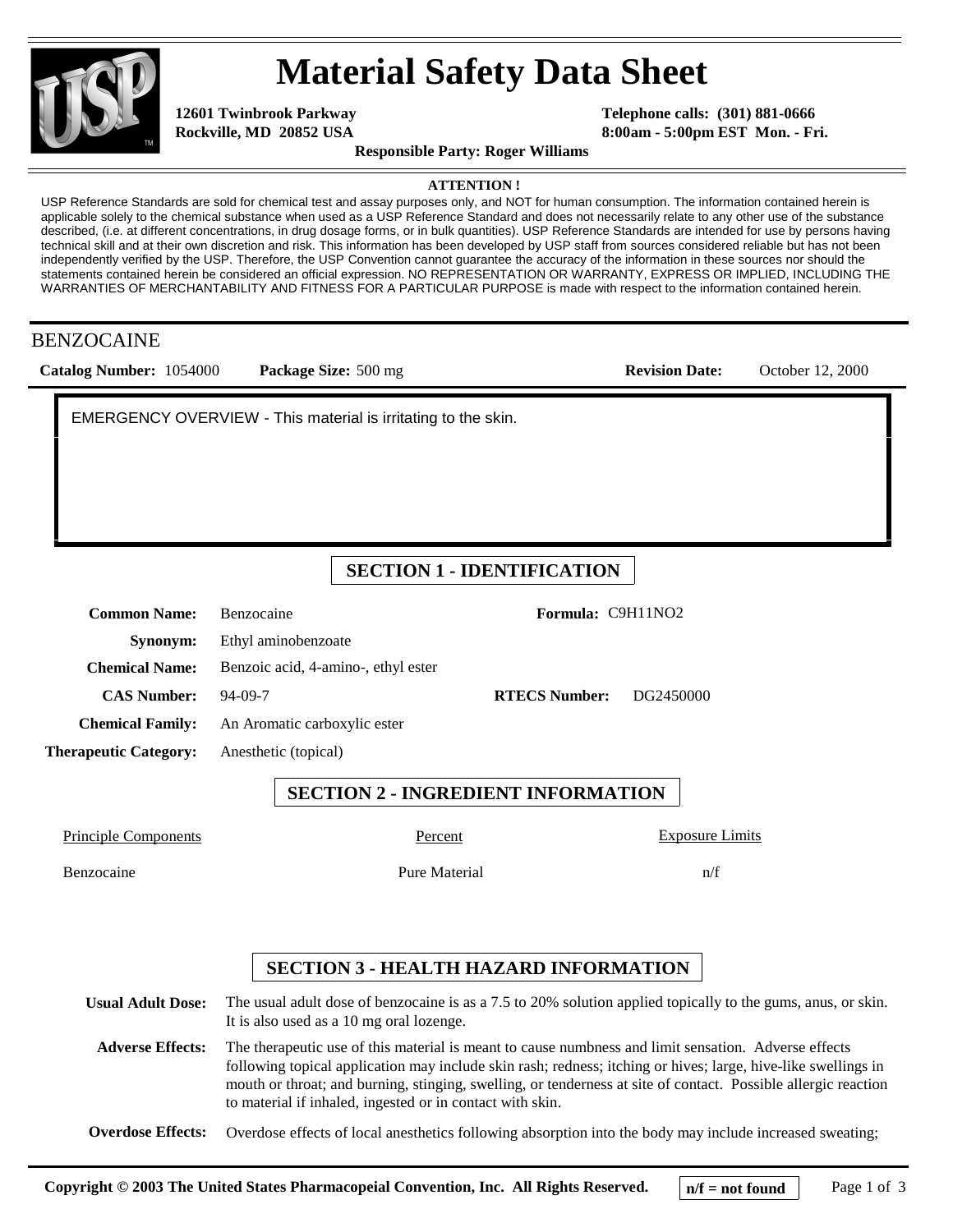

# **Material Safety Data Sheet**

**12601 Twinbrook Parkway Rockville, MD 20852 USA** 

**Telephone calls: (301) 881-0666 8:00am - 5:00pm EST Mon. - Fri.**

**Revision Date:** October 12, 2000

**Responsible Party: Roger Williams**

**ATTENTION !**

USP Reference Standards are sold for chemical test and assay purposes only, and NOT for human consumption. The information contained herein is applicable solely to the chemical substance when used as a USP Reference Standard and does not necessarily relate to any other use of the substance described, (i.e. at different concentrations, in drug dosage forms, or in bulk quantities). USP Reference Standards are intended for use by persons having technical skill and at their own discretion and risk. This information has been developed by USP staff from sources considered reliable but has not been independently verified by the USP. Therefore, the USP Convention cannot guarantee the accuracy of the information in these sources nor should the statements contained herein be considered an official expression. NO REPRESENTATION OR WARRANTY, EXPRESS OR IMPLIED, INCLUDING THE WARRANTIES OF MERCHANTABILITY AND FITNESS FOR A PARTICULAR PURPOSE is made with respect to the information contained herein.

#### BENZOCAINE

| Catalog Number: 1054000 | <b>Package Size:</b> 500 mg |  |
|-------------------------|-----------------------------|--|
|                         |                             |  |

Benzocaine Pure Material

EMERGENCY OVERVIEW - This material is irritating to the skin.

### **SECTION 1 - IDENTIFICATION**

| <b>Common Name:</b>          | <b>Benzocaine</b>                   | Formula: C9H11NO2    |           |
|------------------------------|-------------------------------------|----------------------|-----------|
| Synonym:                     | Ethyl aminobenzoate                 |                      |           |
| <b>Chemical Name:</b>        | Benzoic acid, 4-amino-, ethyl ester |                      |           |
| <b>CAS Number:</b>           | 94-09-7                             | <b>RTECS Number:</b> | DG2450000 |
| <b>Chemical Family:</b>      | An Aromatic carboxylic ester        |                      |           |
| <b>Therapeutic Category:</b> | Anesthetic (topical)                |                      |           |
|                              |                                     |                      |           |

**SECTION 2 - INGREDIENT INFORMATION**

Principle Components Percent

Exposure Limits

n/f

#### **SECTION 3 - HEALTH HAZARD INFORMATION**

**Usual Adult Dose:** The usual adult dose of benzocaine is as a 7.5 to 20% solution applied topically to the gums, anus, or skin. It is also used as a 10 mg oral lozenge.

**Adverse Effects:** The therapeutic use of this material is meant to cause numbness and limit sensation. Adverse effects following topical application may include skin rash; redness; itching or hives; large, hive-like swellings in mouth or throat; and burning, stinging, swelling, or tenderness at site of contact. Possible allergic reaction to material if inhaled, ingested or in contact with skin.

**Overdose Effects:** Overdose effects of local anesthetics following absorption into the body may include increased sweating;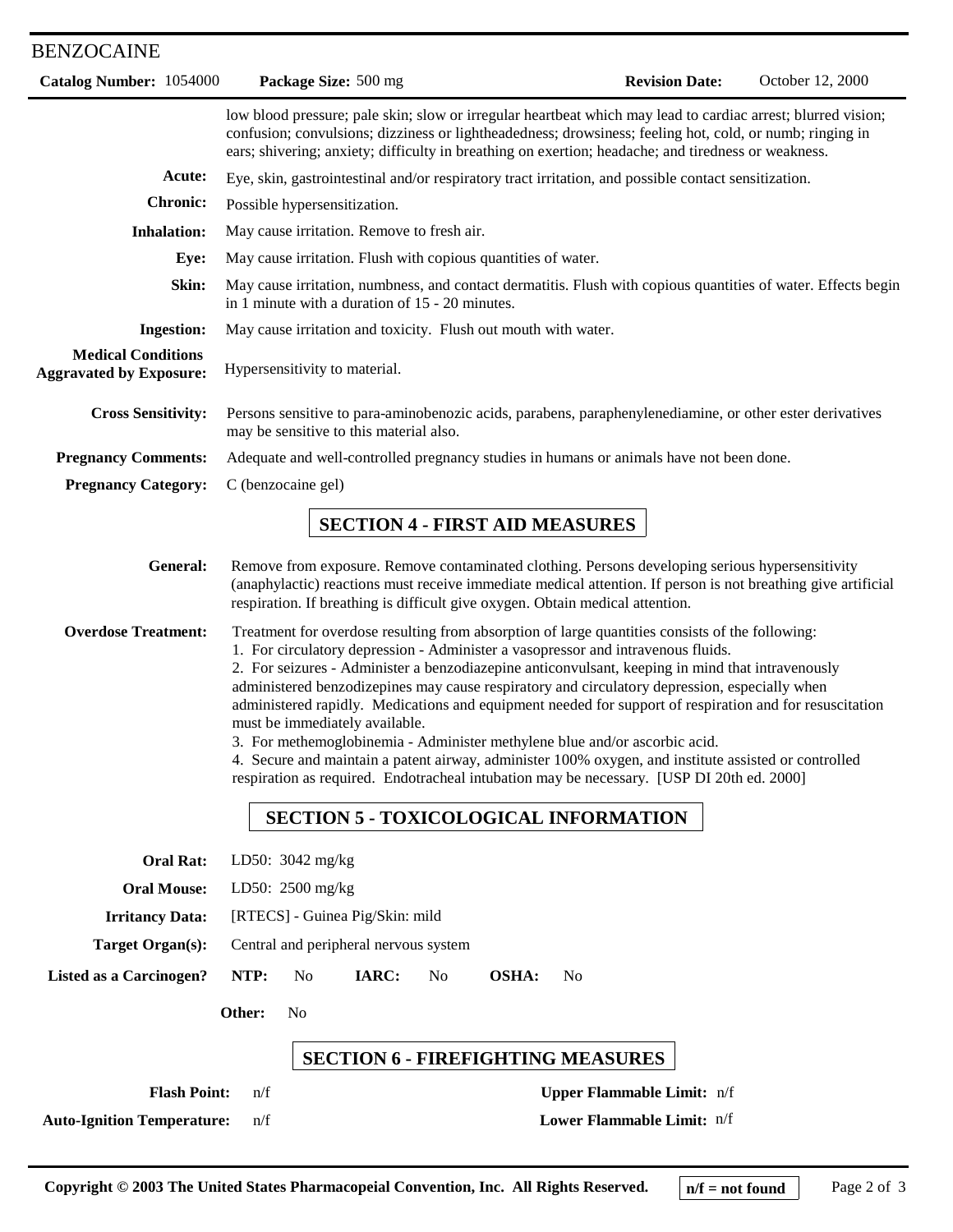## BENZOCAINE

| Catalog Number: 1054000                                     |                                                                                                                                                                                                                                                                                                                                                                                                                                                                                                                                                                                                                                                                                                                                                                                                                                                                          | Package Size: 500 mg                                                          |    |                                       | <b>Revision Date:</b>                                                                                                                                                                                           | October 12, 2000                                                                                              |
|-------------------------------------------------------------|--------------------------------------------------------------------------------------------------------------------------------------------------------------------------------------------------------------------------------------------------------------------------------------------------------------------------------------------------------------------------------------------------------------------------------------------------------------------------------------------------------------------------------------------------------------------------------------------------------------------------------------------------------------------------------------------------------------------------------------------------------------------------------------------------------------------------------------------------------------------------|-------------------------------------------------------------------------------|----|---------------------------------------|-----------------------------------------------------------------------------------------------------------------------------------------------------------------------------------------------------------------|---------------------------------------------------------------------------------------------------------------|
|                                                             |                                                                                                                                                                                                                                                                                                                                                                                                                                                                                                                                                                                                                                                                                                                                                                                                                                                                          |                                                                               |    |                                       | confusion; convulsions; dizziness or lightheadedness; drowsiness; feeling hot, cold, or numb; ringing in<br>ears; shivering; anxiety; difficulty in breathing on exertion; headache; and tiredness or weakness. | low blood pressure; pale skin; slow or irregular heartbeat which may lead to cardiac arrest; blurred vision;  |
| Acute:                                                      |                                                                                                                                                                                                                                                                                                                                                                                                                                                                                                                                                                                                                                                                                                                                                                                                                                                                          |                                                                               |    |                                       | Eye, skin, gastrointestinal and/or respiratory tract irritation, and possible contact sensitization.                                                                                                            |                                                                                                               |
| <b>Chronic:</b>                                             |                                                                                                                                                                                                                                                                                                                                                                                                                                                                                                                                                                                                                                                                                                                                                                                                                                                                          | Possible hypersensitization.                                                  |    |                                       |                                                                                                                                                                                                                 |                                                                                                               |
| <b>Inhalation:</b>                                          |                                                                                                                                                                                                                                                                                                                                                                                                                                                                                                                                                                                                                                                                                                                                                                                                                                                                          | May cause irritation. Remove to fresh air.                                    |    |                                       |                                                                                                                                                                                                                 |                                                                                                               |
| Eye:                                                        |                                                                                                                                                                                                                                                                                                                                                                                                                                                                                                                                                                                                                                                                                                                                                                                                                                                                          | May cause irritation. Flush with copious quantities of water.                 |    |                                       |                                                                                                                                                                                                                 |                                                                                                               |
| Skin:                                                       |                                                                                                                                                                                                                                                                                                                                                                                                                                                                                                                                                                                                                                                                                                                                                                                                                                                                          | in 1 minute with a duration of 15 - 20 minutes.                               |    |                                       |                                                                                                                                                                                                                 | May cause irritation, numbness, and contact dermatitis. Flush with copious quantities of water. Effects begin |
| <b>Ingestion:</b>                                           |                                                                                                                                                                                                                                                                                                                                                                                                                                                                                                                                                                                                                                                                                                                                                                                                                                                                          | May cause irritation and toxicity. Flush out mouth with water.                |    |                                       |                                                                                                                                                                                                                 |                                                                                                               |
| <b>Medical Conditions</b><br><b>Aggravated by Exposure:</b> |                                                                                                                                                                                                                                                                                                                                                                                                                                                                                                                                                                                                                                                                                                                                                                                                                                                                          | Hypersensitivity to material.                                                 |    |                                       |                                                                                                                                                                                                                 |                                                                                                               |
| <b>Cross Sensitivity:</b>                                   |                                                                                                                                                                                                                                                                                                                                                                                                                                                                                                                                                                                                                                                                                                                                                                                                                                                                          | may be sensitive to this material also.                                       |    |                                       |                                                                                                                                                                                                                 | Persons sensitive to para-aminobenozic acids, parabens, paraphenylenediamine, or other ester derivatives      |
| <b>Pregnancy Comments:</b>                                  |                                                                                                                                                                                                                                                                                                                                                                                                                                                                                                                                                                                                                                                                                                                                                                                                                                                                          |                                                                               |    |                                       | Adequate and well-controlled pregnancy studies in humans or animals have not been done.                                                                                                                         |                                                                                                               |
| <b>Pregnancy Category:</b>                                  | C (benzocaine gel)                                                                                                                                                                                                                                                                                                                                                                                                                                                                                                                                                                                                                                                                                                                                                                                                                                                       |                                                                               |    |                                       |                                                                                                                                                                                                                 |                                                                                                               |
|                                                             |                                                                                                                                                                                                                                                                                                                                                                                                                                                                                                                                                                                                                                                                                                                                                                                                                                                                          |                                                                               |    | <b>SECTION 4 - FIRST AID MEASURES</b> |                                                                                                                                                                                                                 |                                                                                                               |
| General:                                                    |                                                                                                                                                                                                                                                                                                                                                                                                                                                                                                                                                                                                                                                                                                                                                                                                                                                                          | respiration. If breathing is difficult give oxygen. Obtain medical attention. |    |                                       | Remove from exposure. Remove contaminated clothing. Persons developing serious hypersensitivity                                                                                                                 | (anaphylactic) reactions must receive immediate medical attention. If person is not breathing give artificial |
| <b>Overdose Treatment:</b>                                  | Treatment for overdose resulting from absorption of large quantities consists of the following:<br>1. For circulatory depression - Administer a vasopressor and intravenous fluids.<br>2. For seizures - Administer a benzodiazepine anticonvulsant, keeping in mind that intravenously<br>administered benzodizepines may cause respiratory and circulatory depression, especially when<br>administered rapidly. Medications and equipment needed for support of respiration and for resuscitation<br>must be immediately available.<br>3. For methemoglobinemia - Administer methylene blue and/or ascorbic acid.<br>4. Secure and maintain a patent airway, administer 100% oxygen, and institute assisted or controlled<br>respiration as required. Endotracheal intubation may be necessary. [USP DI 20th ed. 2000]<br><b>SECTION 5 - TOXICOLOGICAL INFORMATION</b> |                                                                               |    |                                       |                                                                                                                                                                                                                 |                                                                                                               |
| <b>Oral Rat:</b>                                            |                                                                                                                                                                                                                                                                                                                                                                                                                                                                                                                                                                                                                                                                                                                                                                                                                                                                          | LD50: 3042 mg/kg                                                              |    |                                       |                                                                                                                                                                                                                 |                                                                                                               |
| <b>Oral Mouse:</b>                                          |                                                                                                                                                                                                                                                                                                                                                                                                                                                                                                                                                                                                                                                                                                                                                                                                                                                                          | LD50: 2500 mg/kg                                                              |    |                                       |                                                                                                                                                                                                                 |                                                                                                               |
| <b>Irritancy Data:</b>                                      |                                                                                                                                                                                                                                                                                                                                                                                                                                                                                                                                                                                                                                                                                                                                                                                                                                                                          | [RTECS] - Guinea Pig/Skin: mild                                               |    |                                       |                                                                                                                                                                                                                 |                                                                                                               |
| <b>Target Organ(s):</b>                                     |                                                                                                                                                                                                                                                                                                                                                                                                                                                                                                                                                                                                                                                                                                                                                                                                                                                                          | Central and peripheral nervous system                                         |    |                                       |                                                                                                                                                                                                                 |                                                                                                               |
| <b>Listed as a Carcinogen?</b>                              | NTP:                                                                                                                                                                                                                                                                                                                                                                                                                                                                                                                                                                                                                                                                                                                                                                                                                                                                     | IARC:<br>N <sub>0</sub>                                                       | No | <b>OSHA:</b><br>N <sub>0</sub>        |                                                                                                                                                                                                                 |                                                                                                               |
| Other:<br>N <sub>0</sub>                                    |                                                                                                                                                                                                                                                                                                                                                                                                                                                                                                                                                                                                                                                                                                                                                                                                                                                                          |                                                                               |    |                                       |                                                                                                                                                                                                                 |                                                                                                               |
| <b>SECTION 6 - FIREFIGHTING MEASURES</b>                    |                                                                                                                                                                                                                                                                                                                                                                                                                                                                                                                                                                                                                                                                                                                                                                                                                                                                          |                                                                               |    |                                       |                                                                                                                                                                                                                 |                                                                                                               |
| <b>Flash Point:</b>                                         | n/f                                                                                                                                                                                                                                                                                                                                                                                                                                                                                                                                                                                                                                                                                                                                                                                                                                                                      |                                                                               |    |                                       | Upper Flammable Limit: n/f                                                                                                                                                                                      |                                                                                                               |
| <b>Auto-Ignition Temperature:</b>                           | n/f                                                                                                                                                                                                                                                                                                                                                                                                                                                                                                                                                                                                                                                                                                                                                                                                                                                                      |                                                                               |    |                                       | Lower Flammable Limit: n/f                                                                                                                                                                                      |                                                                                                               |